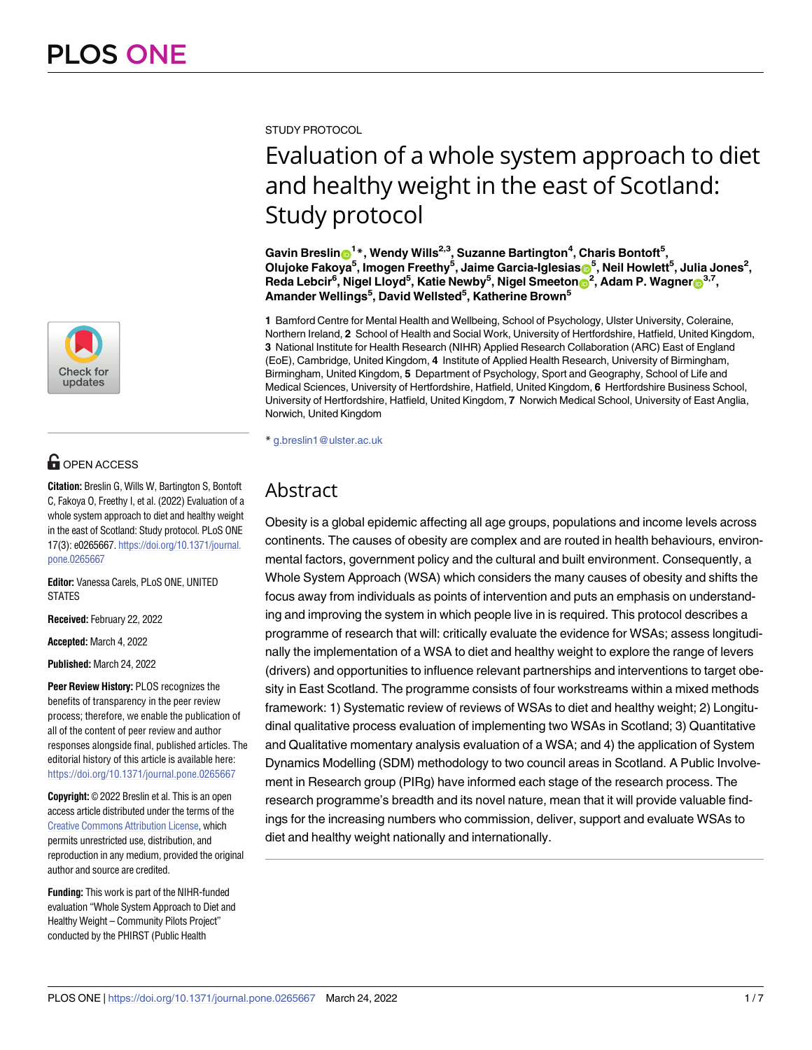

# **OPEN ACCESS**

**Citation:** Breslin G, Wills W, Bartington S, Bontoft C, Fakoya O, Freethy I, et al. (2022) Evaluation of a whole system approach to diet and healthy weight in the east of Scotland: Study protocol. PLoS ONE 17(3): e0265667. [https://doi.org/10.1371/journal.](https://doi.org/10.1371/journal.pone.0265667) [pone.0265667](https://doi.org/10.1371/journal.pone.0265667)

**Editor:** Vanessa Carels, PLoS ONE, UNITED **STATES** 

**Received:** February 22, 2022

**Accepted:** March 4, 2022

**Published:** March 24, 2022

**Peer Review History:** PLOS recognizes the benefits of transparency in the peer review process; therefore, we enable the publication of all of the content of peer review and author responses alongside final, published articles. The editorial history of this article is available here: <https://doi.org/10.1371/journal.pone.0265667>

**Copyright:** © 2022 Breslin et al. This is an open access article distributed under the terms of the Creative Commons [Attribution](http://creativecommons.org/licenses/by/4.0/) License, which permits unrestricted use, distribution, and reproduction in any medium, provided the original author and source are credited.

**Funding:** This work is part of the NIHR-funded evaluation "Whole System Approach to Diet and Healthy Weight – Community Pilots Project" conducted by the PHIRST (Public Health

STUDY PROTOCOL

# Evaluation of a whole system approach to diet and healthy weight in the east of Scotland: Study protocol

 $\delta$ Gavin Breslin $\delta^{1*}$ , Wendy Wills<sup>2,3</sup>, Suzanne Bartington<sup>4</sup>, Charis Bontoft<sup>5</sup>, **Olujoke Fakoya5 , Imogen Freethy5 , Jaime Garcia-Iglesia[sID](https://orcid.org/0000-0002-8841-5635)5 , Neil Howlett5 , Julia Jones2 , Reda Lebcir6 , Nigel Lloyd5 , Katie Newby5 , Nigel Smeeton[ID2](https://orcid.org/0000-0001-9460-5411) , Adam P. Wagner[ID3](https://orcid.org/0000-0002-9101-3477),7, Amander Wellings5 , David Wellsted5 , Katherine Brown5**

**1** Bamford Centre for Mental Health and Wellbeing, School of Psychology, Ulster University, Coleraine, Northern Ireland, **2** School of Health and Social Work, University of Hertfordshire, Hatfield, United Kingdom, **3** National Institute for Health Research (NIHR) Applied Research Collaboration (ARC) East of England (EoE), Cambridge, United Kingdom, **4** Institute of Applied Health Research, University of Birmingham, Birmingham, United Kingdom, **5** Department of Psychology, Sport and Geography, School of Life and Medical Sciences, University of Hertfordshire, Hatfield, United Kingdom, **6** Hertfordshire Business School, University of Hertfordshire, Hatfield, United Kingdom, **7** Norwich Medical School, University of East Anglia, Norwich, United Kingdom

\* g.breslin1@ulster.ac.uk

# Abstract

Obesity is a global epidemic affecting all age groups, populations and income levels across continents. The causes of obesity are complex and are routed in health behaviours, environmental factors, government policy and the cultural and built environment. Consequently, a Whole System Approach (WSA) which considers the many causes of obesity and shifts the focus away from individuals as points of intervention and puts an emphasis on understanding and improving the system in which people live in is required. This protocol describes a programme of research that will: critically evaluate the evidence for WSAs; assess longitudinally the implementation of a WSA to diet and healthy weight to explore the range of levers (drivers) and opportunities to influence relevant partnerships and interventions to target obesity in East Scotland. The programme consists of four workstreams within a mixed methods framework: 1) Systematic review of reviews of WSAs to diet and healthy weight; 2) Longitudinal qualitative process evaluation of implementing two WSAs in Scotland; 3) Quantitative and Qualitative momentary analysis evaluation of a WSA; and 4) the application of System Dynamics Modelling (SDM) methodology to two council areas in Scotland. A Public Involvement in Research group (PIRg) have informed each stage of the research process. The research programme's breadth and its novel nature, mean that it will provide valuable findings for the increasing numbers who commission, deliver, support and evaluate WSAs to diet and healthy weight nationally and internationally.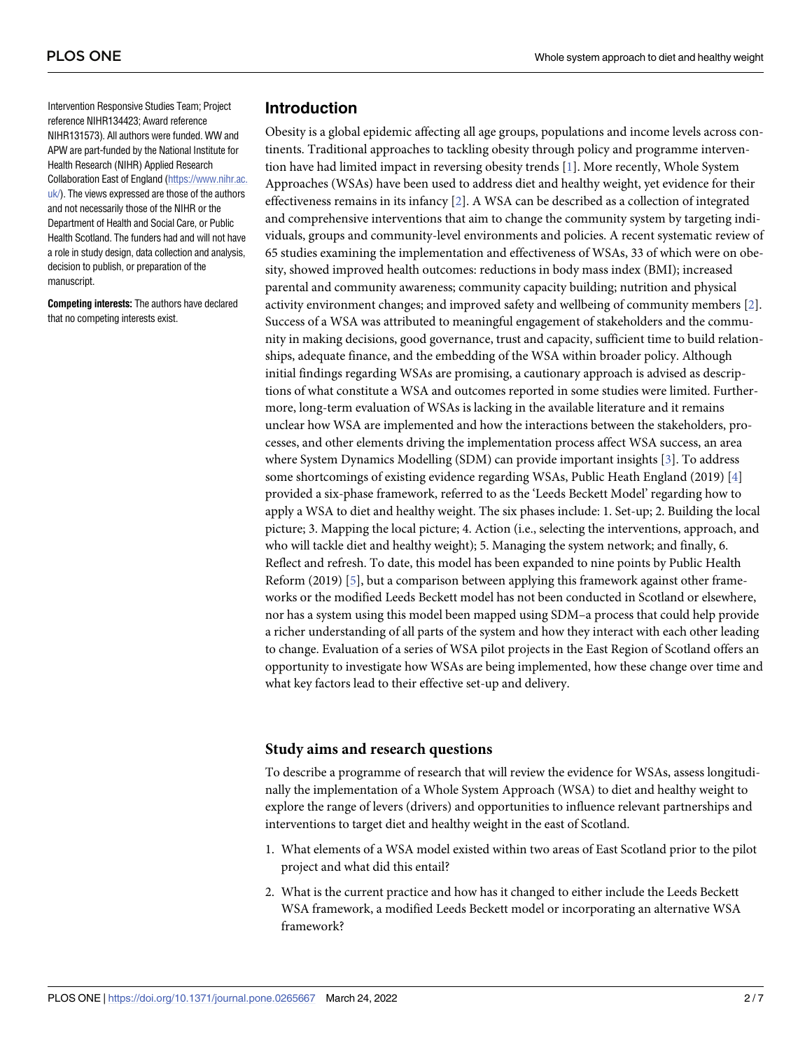<span id="page-1-0"></span>Intervention Responsive Studies Team; Project reference NIHR134423; Award reference NIHR131573). All authors were funded. WW and APW are part-funded by the National Institute for Health Research (NIHR) Applied Research Collaboration East of England ([https://www.nihr.ac.](https://www.nihr.ac.uk/) [uk/](https://www.nihr.ac.uk/)). The views expressed are those of the authors and not necessarily those of the NIHR or the Department of Health and Social Care, or Public Health Scotland. The funders had and will not have a role in study design, data collection and analysis, decision to publish, or preparation of the manuscript.

**Competing interests:** The authors have declared that no competing interests exist.

# **Introduction**

Obesity is a global epidemic affecting all age groups, populations and income levels across continents. Traditional approaches to tackling obesity through policy and programme intervention have had limited impact in reversing obesity trends [\[1](#page-6-0)]. More recently, Whole System Approaches (WSAs) have been used to address diet and healthy weight, yet evidence for their effectiveness remains in its infancy [[2](#page-6-0)]. A WSA can be described as a collection of integrated and comprehensive interventions that aim to change the community system by targeting individuals, groups and community-level environments and policies. A recent systematic review of 65 studies examining the implementation and effectiveness of WSAs, 33 of which were on obesity, showed improved health outcomes: reductions in body mass index (BMI); increased parental and community awareness; community capacity building; nutrition and physical activity environment changes; and improved safety and wellbeing of community members [\[2](#page-6-0)]. Success of a WSA was attributed to meaningful engagement of stakeholders and the community in making decisions, good governance, trust and capacity, sufficient time to build relationships, adequate finance, and the embedding of the WSA within broader policy. Although initial findings regarding WSAs are promising, a cautionary approach is advised as descriptions of what constitute a WSA and outcomes reported in some studies were limited. Furthermore, long-term evaluation of WSAs is lacking in the available literature and it remains unclear how WSA are implemented and how the interactions between the stakeholders, processes, and other elements driving the implementation process affect WSA success, an area where System Dynamics Modelling (SDM) can provide important insights [[3](#page-6-0)]. To address some shortcomings of existing evidence regarding WSAs, Public Heath England (2019) [\[4\]](#page-6-0) provided a six-phase framework, referred to as the 'Leeds Beckett Model' regarding how to apply a WSA to diet and healthy weight. The six phases include: 1. Set-up; 2. Building the local picture; 3. Mapping the local picture; 4. Action (i.e., selecting the interventions, approach, and who will tackle diet and healthy weight); 5. Managing the system network; and finally, 6. Reflect and refresh. To date, this model has been expanded to nine points by Public Health Reform (2019) [[5\]](#page-6-0), but a comparison between applying this framework against other frameworks or the modified Leeds Beckett model has not been conducted in Scotland or elsewhere, nor has a system using this model been mapped using SDM–a process that could help provide a richer understanding of all parts of the system and how they interact with each other leading to change. Evaluation of a series of WSA pilot projects in the East Region of Scotland offers an opportunity to investigate how WSAs are being implemented, how these change over time and what key factors lead to their effective set-up and delivery.

#### **Study aims and research questions**

To describe a programme of research that will review the evidence for WSAs, assess longitudinally the implementation of a Whole System Approach (WSA) to diet and healthy weight to explore the range of levers (drivers) and opportunities to influence relevant partnerships and interventions to target diet and healthy weight in the east of Scotland.

- 1. What elements of a WSA model existed within two areas of East Scotland prior to the pilot project and what did this entail?
- 2. What is the current practice and how has it changed to either include the Leeds Beckett WSA framework, a modified Leeds Beckett model or incorporating an alternative WSA framework?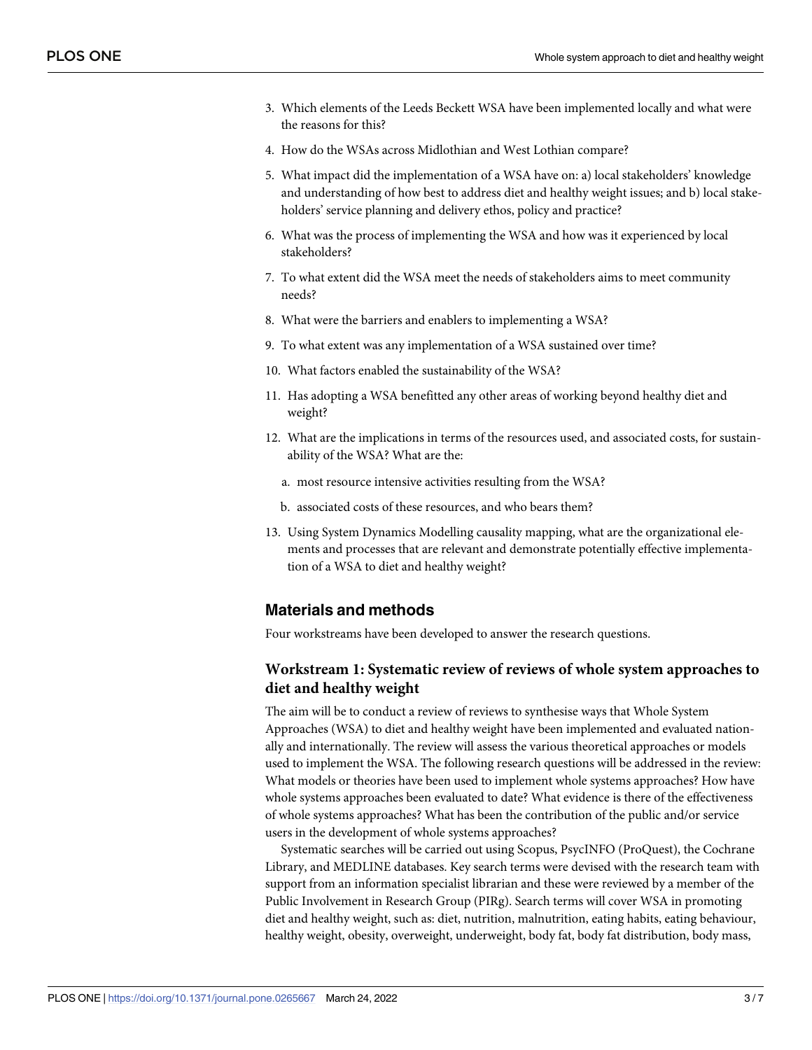- 3. Which elements of the Leeds Beckett WSA have been implemented locally and what were the reasons for this?
- 4. How do the WSAs across Midlothian and West Lothian compare?
- 5. What impact did the implementation of a WSA have on: a) local stakeholders' knowledge and understanding of how best to address diet and healthy weight issues; and b) local stakeholders' service planning and delivery ethos, policy and practice?
- 6. What was the process of implementing the WSA and how was it experienced by local stakeholders?
- 7. To what extent did the WSA meet the needs of stakeholders aims to meet community needs?
- 8. What were the barriers and enablers to implementing a WSA?
- 9. To what extent was any implementation of a WSA sustained over time?
- 10. What factors enabled the sustainability of the WSA?
- 11. Has adopting a WSA benefitted any other areas of working beyond healthy diet and weight?
- 12. What are the implications in terms of the resources used, and associated costs, for sustainability of the WSA? What are the:
	- a. most resource intensive activities resulting from the WSA?
	- b. associated costs of these resources, and who bears them?
- 13. Using System Dynamics Modelling causality mapping, what are the organizational elements and processes that are relevant and demonstrate potentially effective implementation of a WSA to diet and healthy weight?

#### **Materials and methods**

Four workstreams have been developed to answer the research questions.

### **Workstream 1: Systematic review of reviews of whole system approaches to diet and healthy weight**

The aim will be to conduct a review of reviews to synthesise ways that Whole System Approaches (WSA) to diet and healthy weight have been implemented and evaluated nationally and internationally. The review will assess the various theoretical approaches or models used to implement the WSA. The following research questions will be addressed in the review: What models or theories have been used to implement whole systems approaches? How have whole systems approaches been evaluated to date? What evidence is there of the effectiveness of whole systems approaches? What has been the contribution of the public and/or service users in the development of whole systems approaches?

Systematic searches will be carried out using Scopus, PsycINFO (ProQuest), the Cochrane Library, and MEDLINE databases. Key search terms were devised with the research team with support from an information specialist librarian and these were reviewed by a member of the Public Involvement in Research Group (PIRg). Search terms will cover WSA in promoting diet and healthy weight, such as: diet, nutrition, malnutrition, eating habits, eating behaviour, healthy weight, obesity, overweight, underweight, body fat, body fat distribution, body mass,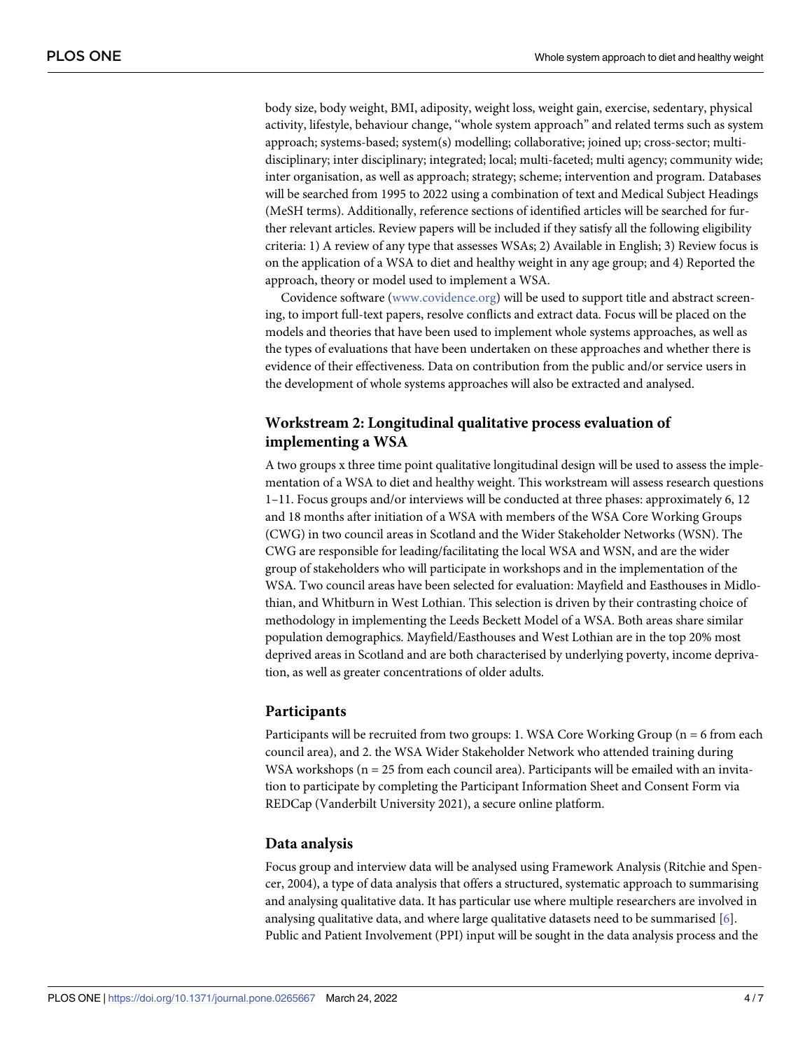<span id="page-3-0"></span>body size, body weight, BMI, adiposity, weight loss, weight gain, exercise, sedentary, physical activity, lifestyle, behaviour change, ''whole system approach" and related terms such as system approach; systems-based; system(s) modelling; collaborative; joined up; cross-sector; multidisciplinary; inter disciplinary; integrated; local; multi-faceted; multi agency; community wide; inter organisation, as well as approach; strategy; scheme; intervention and program. Databases will be searched from 1995 to 2022 using a combination of text and Medical Subject Headings (MeSH terms). Additionally, reference sections of identified articles will be searched for further relevant articles. Review papers will be included if they satisfy all the following eligibility criteria: 1) A review of any type that assesses WSAs; 2) Available in English; 3) Review focus is on the application of a WSA to diet and healthy weight in any age group; and 4) Reported the approach, theory or model used to implement a WSA.

Covidence software ([www.covidence.org](http://www.covidence.org/)) will be used to support title and abstract screening, to import full-text papers, resolve conflicts and extract data. Focus will be placed on the models and theories that have been used to implement whole systems approaches, as well as the types of evaluations that have been undertaken on these approaches and whether there is evidence of their effectiveness. Data on contribution from the public and/or service users in the development of whole systems approaches will also be extracted and analysed.

# **Workstream 2: Longitudinal qualitative process evaluation of implementing a WSA**

A two groups x three time point qualitative longitudinal design will be used to assess the implementation of a WSA to diet and healthy weight. This workstream will assess research questions 1–11. Focus groups and/or interviews will be conducted at three phases: approximately 6, 12 and 18 months after initiation of a WSA with members of the WSA Core Working Groups (CWG) in two council areas in Scotland and the Wider Stakeholder Networks (WSN). The CWG are responsible for leading/facilitating the local WSA and WSN, and are the wider group of stakeholders who will participate in workshops and in the implementation of the WSA. Two council areas have been selected for evaluation: Mayfield and Easthouses in Midlothian, and Whitburn in West Lothian. This selection is driven by their contrasting choice of methodology in implementing the Leeds Beckett Model of a WSA. Both areas share similar population demographics. Mayfield/Easthouses and West Lothian are in the top 20% most deprived areas in Scotland and are both characterised by underlying poverty, income deprivation, as well as greater concentrations of older adults.

# **Participants**

Participants will be recruited from two groups: 1. WSA Core Working Group (n = 6 from each council area), and 2. the WSA Wider Stakeholder Network who attended training during WSA workshops ( $n = 25$  from each council area). Participants will be emailed with an invitation to participate by completing the Participant Information Sheet and Consent Form via REDCap (Vanderbilt University 2021), a secure online platform.

#### **Data analysis**

Focus group and interview data will be analysed using Framework Analysis (Ritchie and Spencer, 2004), a type of data analysis that offers a structured, systematic approach to summarising and analysing qualitative data. It has particular use where multiple researchers are involved in analysing qualitative data, and where large qualitative datasets need to be summarised [[6](#page-6-0)]. Public and Patient Involvement (PPI) input will be sought in the data analysis process and the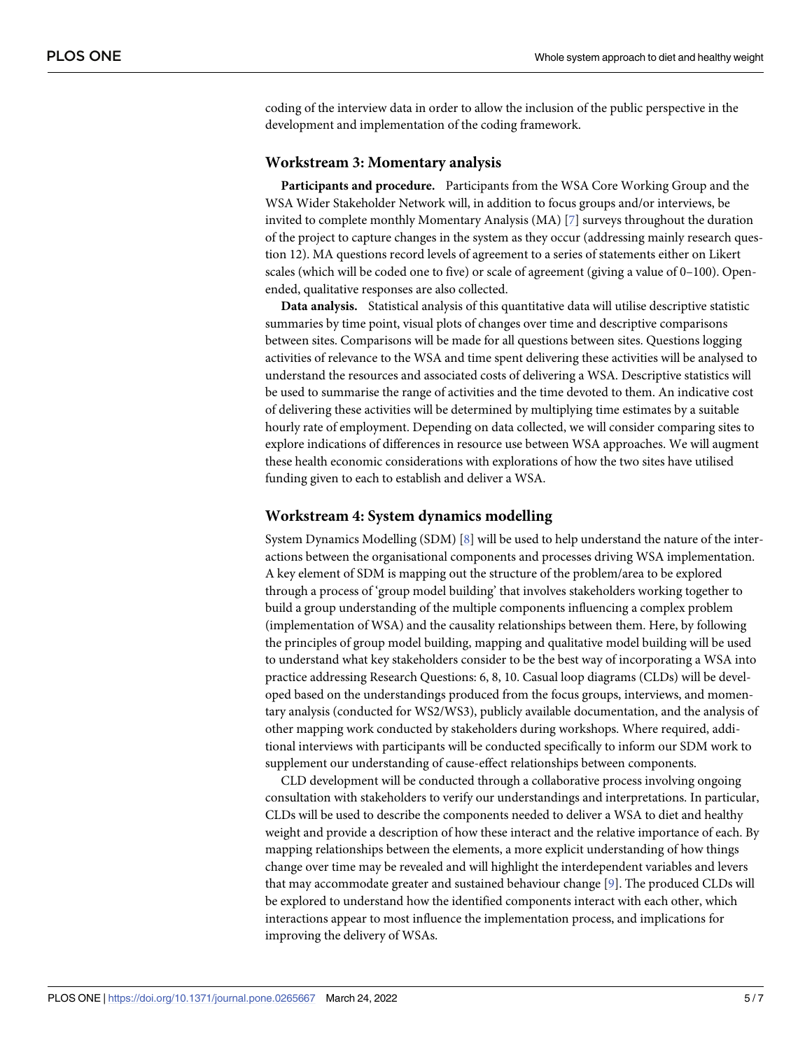<span id="page-4-0"></span>coding of the interview data in order to allow the inclusion of the public perspective in the development and implementation of the coding framework.

#### **Workstream 3: Momentary analysis**

**Participants and procedure.** Participants from the WSA Core Working Group and the WSA Wider Stakeholder Network will, in addition to focus groups and/or interviews, be invited to complete monthly Momentary Analysis (MA) [\[7\]](#page-6-0) surveys throughout the duration of the project to capture changes in the system as they occur (addressing mainly research question 12). MA questions record levels of agreement to a series of statements either on Likert scales (which will be coded one to five) or scale of agreement (giving a value of 0–100). Openended, qualitative responses are also collected.

**Data analysis.** Statistical analysis of this quantitative data will utilise descriptive statistic summaries by time point, visual plots of changes over time and descriptive comparisons between sites. Comparisons will be made for all questions between sites. Questions logging activities of relevance to the WSA and time spent delivering these activities will be analysed to understand the resources and associated costs of delivering a WSA. Descriptive statistics will be used to summarise the range of activities and the time devoted to them. An indicative cost of delivering these activities will be determined by multiplying time estimates by a suitable hourly rate of employment. Depending on data collected, we will consider comparing sites to explore indications of differences in resource use between WSA approaches. We will augment these health economic considerations with explorations of how the two sites have utilised funding given to each to establish and deliver a WSA.

#### **Workstream 4: System dynamics modelling**

System Dynamics Modelling (SDM) [[8\]](#page-6-0) will be used to help understand the nature of the interactions between the organisational components and processes driving WSA implementation. A key element of SDM is mapping out the structure of the problem/area to be explored through a process of 'group model building' that involves stakeholders working together to build a group understanding of the multiple components influencing a complex problem (implementation of WSA) and the causality relationships between them. Here, by following the principles of group model building, mapping and qualitative model building will be used to understand what key stakeholders consider to be the best way of incorporating a WSA into practice addressing Research Questions: 6, 8, 10. Casual loop diagrams (CLDs) will be developed based on the understandings produced from the focus groups, interviews, and momentary analysis (conducted for WS2/WS3), publicly available documentation, and the analysis of other mapping work conducted by stakeholders during workshops. Where required, additional interviews with participants will be conducted specifically to inform our SDM work to supplement our understanding of cause-effect relationships between components.

CLD development will be conducted through a collaborative process involving ongoing consultation with stakeholders to verify our understandings and interpretations. In particular, CLDs will be used to describe the components needed to deliver a WSA to diet and healthy weight and provide a description of how these interact and the relative importance of each. By mapping relationships between the elements, a more explicit understanding of how things change over time may be revealed and will highlight the interdependent variables and levers that may accommodate greater and sustained behaviour change [[9](#page-6-0)]. The produced CLDs will be explored to understand how the identified components interact with each other, which interactions appear to most influence the implementation process, and implications for improving the delivery of WSAs.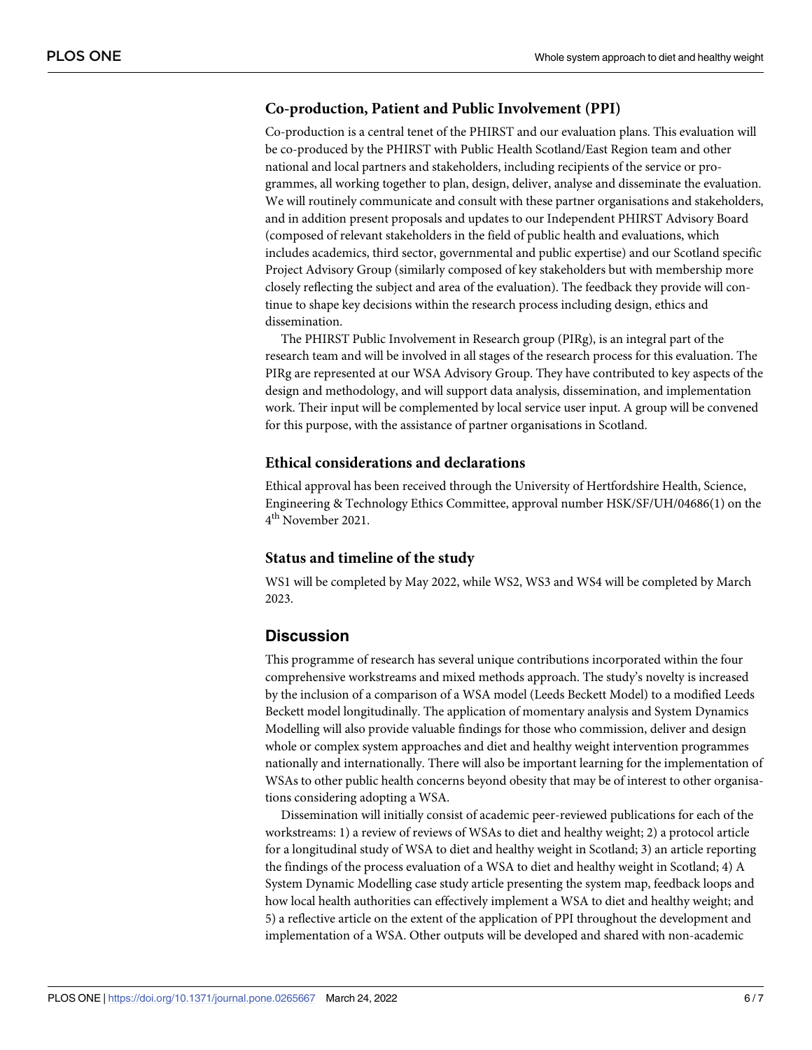## **Co-production, Patient and Public Involvement (PPI)**

Co-production is a central tenet of the PHIRST and our evaluation plans. This evaluation will be co-produced by the PHIRST with Public Health Scotland/East Region team and other national and local partners and stakeholders, including recipients of the service or programmes, all working together to plan, design, deliver, analyse and disseminate the evaluation. We will routinely communicate and consult with these partner organisations and stakeholders, and in addition present proposals and updates to our Independent PHIRST Advisory Board (composed of relevant stakeholders in the field of public health and evaluations, which includes academics, third sector, governmental and public expertise) and our Scotland specific Project Advisory Group (similarly composed of key stakeholders but with membership more closely reflecting the subject and area of the evaluation). The feedback they provide will continue to shape key decisions within the research process including design, ethics and dissemination.

The PHIRST Public Involvement in Research group (PIRg), is an integral part of the research team and will be involved in all stages of the research process for this evaluation. The PIRg are represented at our WSA Advisory Group. They have contributed to key aspects of the design and methodology, and will support data analysis, dissemination, and implementation work. Their input will be complemented by local service user input. A group will be convened for this purpose, with the assistance of partner organisations in Scotland.

#### **Ethical considerations and declarations**

Ethical approval has been received through the University of Hertfordshire Health, Science, Engineering & Technology Ethics Committee, approval number HSK/SF/UH/04686(1) on the 4<sup>th</sup> November 2021.

#### **Status and timeline of the study**

WS1 will be completed by May 2022, while WS2, WS3 and WS4 will be completed by March 2023.

#### **Discussion**

This programme of research has several unique contributions incorporated within the four comprehensive workstreams and mixed methods approach. The study's novelty is increased by the inclusion of a comparison of a WSA model (Leeds Beckett Model) to a modified Leeds Beckett model longitudinally. The application of momentary analysis and System Dynamics Modelling will also provide valuable findings for those who commission, deliver and design whole or complex system approaches and diet and healthy weight intervention programmes nationally and internationally. There will also be important learning for the implementation of WSAs to other public health concerns beyond obesity that may be of interest to other organisations considering adopting a WSA.

Dissemination will initially consist of academic peer-reviewed publications for each of the workstreams: 1) a review of reviews of WSAs to diet and healthy weight; 2) a protocol article for a longitudinal study of WSA to diet and healthy weight in Scotland; 3) an article reporting the findings of the process evaluation of a WSA to diet and healthy weight in Scotland; 4) A System Dynamic Modelling case study article presenting the system map, feedback loops and how local health authorities can effectively implement a WSA to diet and healthy weight; and 5) a reflective article on the extent of the application of PPI throughout the development and implementation of a WSA. Other outputs will be developed and shared with non-academic